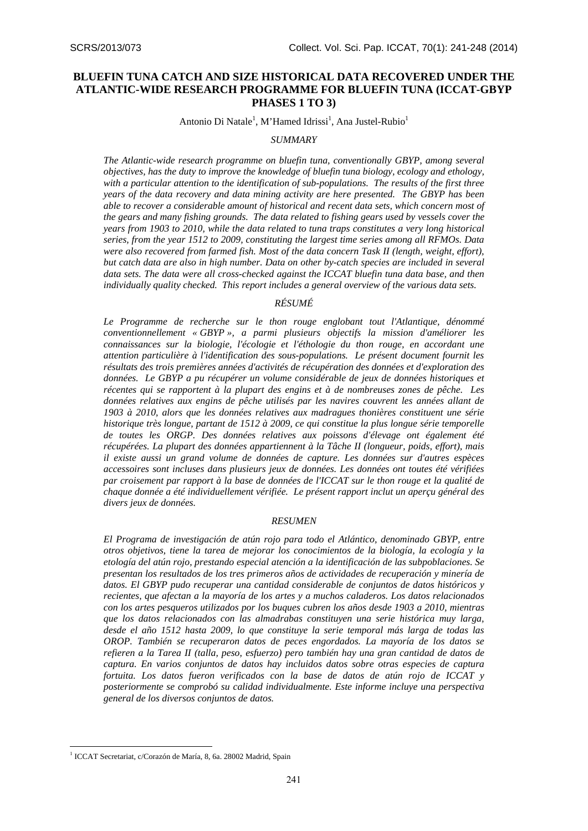# **BLUEFIN TUNA CATCH AND SIZE HISTORICAL DATA RECOVERED UNDER THE ATLANTIC-WIDE RESEARCH PROGRAMME FOR BLUEFIN TUNA (ICCAT-GBYP PHASES 1 TO 3)**

Antonio Di Natale<sup>1</sup>, M'Hamed Idrissi<sup>1</sup>, Ana Justel-Rubio<sup>1</sup>

#### *SUMMARY*

*The Atlantic-wide research programme on bluefin tuna, conventionally GBYP, among several objectives, has the duty to improve the knowledge of bluefin tuna biology, ecology and ethology, with a particular attention to the identification of sub-populations. The results of the first three years of the data recovery and data mining activity are here presented. The GBYP has been able to recover a considerable amount of historical and recent data sets, which concern most of the gears and many fishing grounds. The data related to fishing gears used by vessels cover the years from 1903 to 2010, while the data related to tuna traps constitutes a very long historical series, from the year 1512 to 2009, constituting the largest time series among all RFMOs. Data were also recovered from farmed fish. Most of the data concern Task II (length, weight, effort), but catch data are also in high number. Data on other by-catch species are included in several data sets. The data were all cross-checked against the ICCAT bluefin tuna data base, and then individually quality checked. This report includes a general overview of the various data sets.* 

## *RÉSUMÉ*

*Le Programme de recherche sur le thon rouge englobant tout l'Atlantique, dénommé conventionnellement « GBYP », a parmi plusieurs objectifs la mission d'améliorer les connaissances sur la biologie, l'écologie et l'éthologie du thon rouge, en accordant une attention particulière à l'identification des sous-populations. Le présent document fournit les résultats des trois premières années d'activités de récupération des données et d'exploration des données. Le GBYP a pu récupérer un volume considérable de jeux de données historiques et récentes qui se rapportent à la plupart des engins et à de nombreuses zones de pêche. Les données relatives aux engins de pêche utilisés par les navires couvrent les années allant de 1903 à 2010, alors que les données relatives aux madragues thonières constituent une série historique très longue, partant de 1512 à 2009, ce qui constitue la plus longue série temporelle de toutes les ORGP. Des données relatives aux poissons d'élevage ont également été récupérées. La plupart des données appartiennent à la Tâche II (longueur, poids, effort), mais il existe aussi un grand volume de données de capture. Les données sur d'autres espèces accessoires sont incluses dans plusieurs jeux de données. Les données ont toutes été vérifiées par croisement par rapport à la base de données de l'ICCAT sur le thon rouge et la qualité de chaque donnée a été individuellement vérifiée. Le présent rapport inclut un aperçu général des divers jeux de données.* 

#### *RESUMEN*

*El Programa de investigación de atún rojo para todo el Atlántico, denominado GBYP, entre otros objetivos, tiene la tarea de mejorar los conocimientos de la biología, la ecología y la etología del atún rojo, prestando especial atención a la identificación de las subpoblaciones. Se presentan los resultados de los tres primeros años de actividades de recuperación y minería de datos. El GBYP pudo recuperar una cantidad considerable de conjuntos de datos históricos y recientes, que afectan a la mayoría de los artes y a muchos caladeros. Los datos relacionados con los artes pesqueros utilizados por los buques cubren los años desde 1903 a 2010, mientras que los datos relacionados con las almadrabas constituyen una serie histórica muy larga, desde el año 1512 hasta 2009, lo que constituye la serie temporal más larga de todas las OROP. También se recuperaron datos de peces engordados. La mayoría de los datos se refieren a la Tarea II (talla, peso, esfuerzo) pero también hay una gran cantidad de datos de captura. En varios conjuntos de datos hay incluidos datos sobre otras especies de captura fortuita. Los datos fueron verificados con la base de datos de atún rojo de ICCAT y posteriormente se comprobó su calidad individualmente. Este informe incluye una perspectiva general de los diversos conjuntos de datos.* 

<sup>&</sup>lt;sup>1</sup> ICCAT Secretariat, c/Corazón de María, 8, 6a. 28002 Madrid, Spain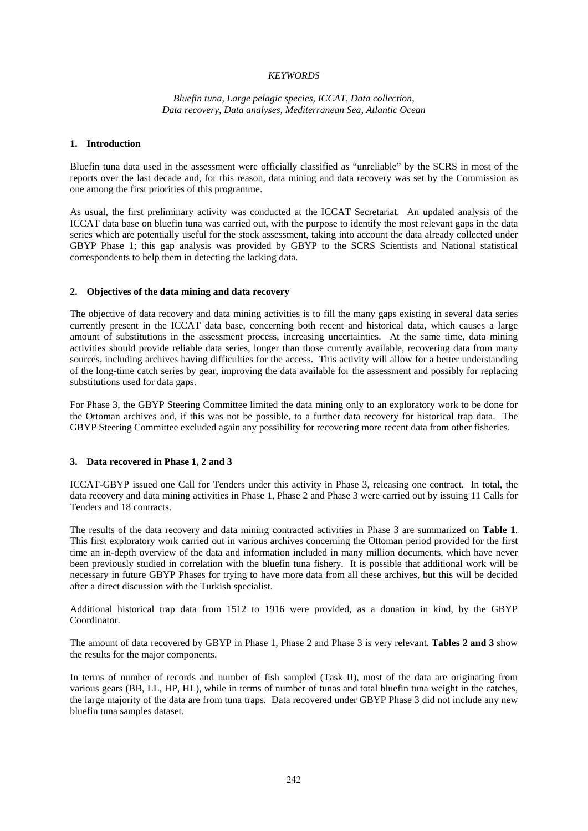### *KEYWORDS*

### *Bluefin tuna, Large pelagic species, ICCAT, Data collection, Data recovery, Data analyses, Mediterranean Sea, Atlantic Ocean*

#### **1. Introduction**

Bluefin tuna data used in the assessment were officially classified as "unreliable" by the SCRS in most of the reports over the last decade and, for this reason, data mining and data recovery was set by the Commission as one among the first priorities of this programme.

As usual, the first preliminary activity was conducted at the ICCAT Secretariat. An updated analysis of the ICCAT data base on bluefin tuna was carried out, with the purpose to identify the most relevant gaps in the data series which are potentially useful for the stock assessment, taking into account the data already collected under GBYP Phase 1; this gap analysis was provided by GBYP to the SCRS Scientists and National statistical correspondents to help them in detecting the lacking data.

#### **2. Objectives of the data mining and data recovery**

The objective of data recovery and data mining activities is to fill the many gaps existing in several data series currently present in the ICCAT data base, concerning both recent and historical data, which causes a large amount of substitutions in the assessment process, increasing uncertainties. At the same time, data mining activities should provide reliable data series, longer than those currently available, recovering data from many sources, including archives having difficulties for the access. This activity will allow for a better understanding of the long-time catch series by gear, improving the data available for the assessment and possibly for replacing substitutions used for data gaps.

For Phase 3, the GBYP Steering Committee limited the data mining only to an exploratory work to be done for the Ottoman archives and, if this was not be possible, to a further data recovery for historical trap data. The GBYP Steering Committee excluded again any possibility for recovering more recent data from other fisheries.

#### **3. Data recovered in Phase 1, 2 and 3**

ICCAT-GBYP issued one Call for Tenders under this activity in Phase 3, releasing one contract. In total, the data recovery and data mining activities in Phase 1, Phase 2 and Phase 3 were carried out by issuing 11 Calls for Tenders and 18 contracts.

The results of the data recovery and data mining contracted activities in Phase 3 are summarized on **Table 1**. This first exploratory work carried out in various archives concerning the Ottoman period provided for the first time an in-depth overview of the data and information included in many million documents, which have never been previously studied in correlation with the bluefin tuna fishery. It is possible that additional work will be necessary in future GBYP Phases for trying to have more data from all these archives, but this will be decided after a direct discussion with the Turkish specialist.

Additional historical trap data from 1512 to 1916 were provided, as a donation in kind, by the GBYP Coordinator.

The amount of data recovered by GBYP in Phase 1, Phase 2 and Phase 3 is very relevant. **Tables 2 and 3** show the results for the major components.

In terms of number of records and number of fish sampled (Task II), most of the data are originating from various gears (BB, LL, HP, HL), while in terms of number of tunas and total bluefin tuna weight in the catches, the large majority of the data are from tuna traps. Data recovered under GBYP Phase 3 did not include any new bluefin tuna samples dataset.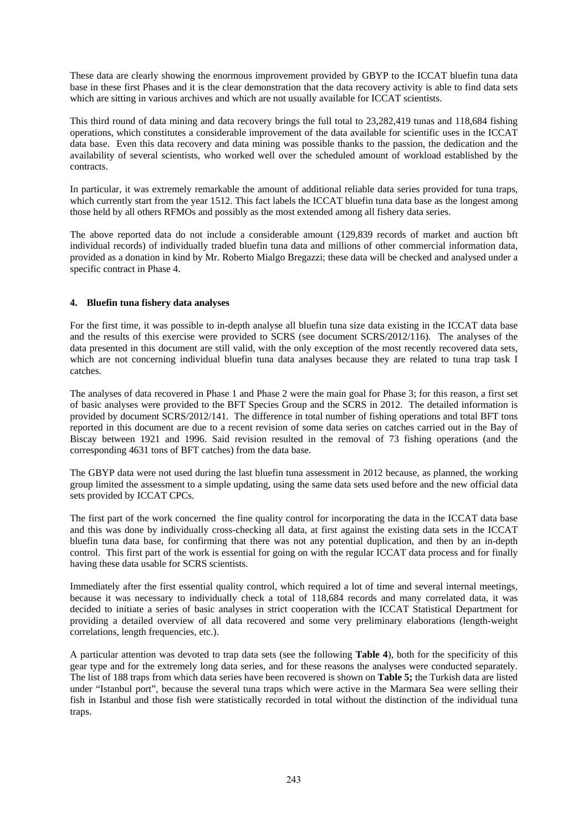These data are clearly showing the enormous improvement provided by GBYP to the ICCAT bluefin tuna data base in these first Phases and it is the clear demonstration that the data recovery activity is able to find data sets which are sitting in various archives and which are not usually available for ICCAT scientists.

This third round of data mining and data recovery brings the full total to 23,282,419 tunas and 118,684 fishing operations, which constitutes a considerable improvement of the data available for scientific uses in the ICCAT data base. Even this data recovery and data mining was possible thanks to the passion, the dedication and the availability of several scientists, who worked well over the scheduled amount of workload established by the contracts.

In particular, it was extremely remarkable the amount of additional reliable data series provided for tuna traps, which currently start from the year 1512. This fact labels the ICCAT bluefin tuna data base as the longest among those held by all others RFMOs and possibly as the most extended among all fishery data series.

The above reported data do not include a considerable amount (129,839 records of market and auction bft individual records) of individually traded bluefin tuna data and millions of other commercial information data, provided as a donation in kind by Mr. Roberto Mialgo Bregazzi; these data will be checked and analysed under a specific contract in Phase 4.

## **4. Bluefin tuna fishery data analyses**

For the first time, it was possible to in-depth analyse all bluefin tuna size data existing in the ICCAT data base and the results of this exercise were provided to SCRS (see document SCRS/2012/116). The analyses of the data presented in this document are still valid, with the only exception of the most recently recovered data sets, which are not concerning individual bluefin tuna data analyses because they are related to tuna trap task I catches.

The analyses of data recovered in Phase 1 and Phase 2 were the main goal for Phase 3; for this reason, a first set of basic analyses were provided to the BFT Species Group and the SCRS in 2012. The detailed information is provided by document SCRS/2012/141. The difference in total number of fishing operations and total BFT tons reported in this document are due to a recent revision of some data series on catches carried out in the Bay of Biscay between 1921 and 1996. Said revision resulted in the removal of 73 fishing operations (and the corresponding 4631 tons of BFT catches) from the data base.

The GBYP data were not used during the last bluefin tuna assessment in 2012 because, as planned, the working group limited the assessment to a simple updating, using the same data sets used before and the new official data sets provided by ICCAT CPCs.

The first part of the work concerned the fine quality control for incorporating the data in the ICCAT data base and this was done by individually cross-checking all data, at first against the existing data sets in the ICCAT bluefin tuna data base, for confirming that there was not any potential duplication, and then by an in-depth control. This first part of the work is essential for going on with the regular ICCAT data process and for finally having these data usable for SCRS scientists.

Immediately after the first essential quality control, which required a lot of time and several internal meetings, because it was necessary to individually check a total of 118,684 records and many correlated data, it was decided to initiate a series of basic analyses in strict cooperation with the ICCAT Statistical Department for providing a detailed overview of all data recovered and some very preliminary elaborations (length-weight correlations, length frequencies, etc.).

A particular attention was devoted to trap data sets (see the following **Table 4**), both for the specificity of this gear type and for the extremely long data series, and for these reasons the analyses were conducted separately. The list of 188 traps from which data series have been recovered is shown on **Table 5;** the Turkish data are listed under "Istanbul port", because the several tuna traps which were active in the Marmara Sea were selling their fish in Istanbul and those fish were statistically recorded in total without the distinction of the individual tuna traps.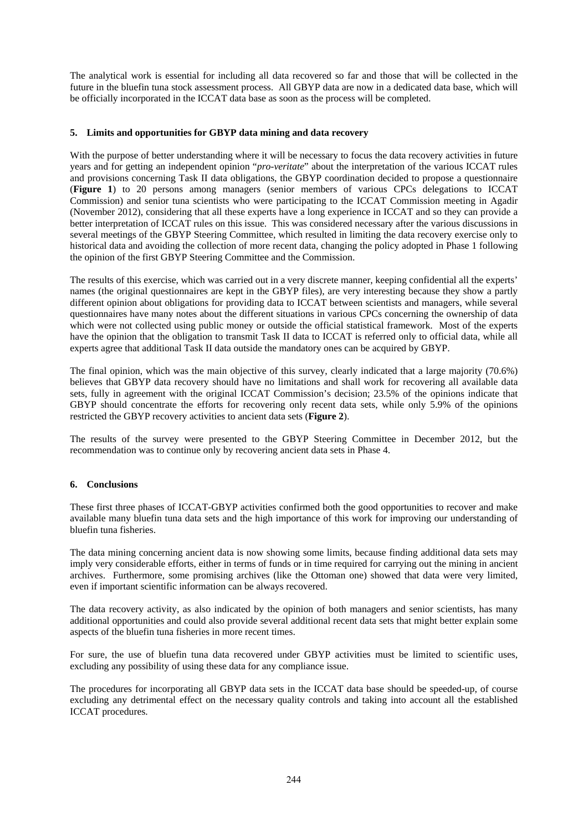The analytical work is essential for including all data recovered so far and those that will be collected in the future in the bluefin tuna stock assessment process. All GBYP data are now in a dedicated data base, which will be officially incorporated in the ICCAT data base as soon as the process will be completed.

## **5. Limits and opportunities for GBYP data mining and data recovery**

With the purpose of better understanding where it will be necessary to focus the data recovery activities in future years and for getting an independent opinion "*pro-veritate*" about the interpretation of the various ICCAT rules and provisions concerning Task II data obligations, the GBYP coordination decided to propose a questionnaire (**Figure 1**) to 20 persons among managers (senior members of various CPCs delegations to ICCAT Commission) and senior tuna scientists who were participating to the ICCAT Commission meeting in Agadir (November 2012), considering that all these experts have a long experience in ICCAT and so they can provide a better interpretation of ICCAT rules on this issue. This was considered necessary after the various discussions in several meetings of the GBYP Steering Committee, which resulted in limiting the data recovery exercise only to historical data and avoiding the collection of more recent data, changing the policy adopted in Phase 1 following the opinion of the first GBYP Steering Committee and the Commission.

The results of this exercise, which was carried out in a very discrete manner, keeping confidential all the experts' names (the original questionnaires are kept in the GBYP files), are very interesting because they show a partly different opinion about obligations for providing data to ICCAT between scientists and managers, while several questionnaires have many notes about the different situations in various CPCs concerning the ownership of data which were not collected using public money or outside the official statistical framework. Most of the experts have the opinion that the obligation to transmit Task II data to ICCAT is referred only to official data, while all experts agree that additional Task II data outside the mandatory ones can be acquired by GBYP.

The final opinion, which was the main objective of this survey, clearly indicated that a large majority (70.6%) believes that GBYP data recovery should have no limitations and shall work for recovering all available data sets, fully in agreement with the original ICCAT Commission's decision; 23.5% of the opinions indicate that GBYP should concentrate the efforts for recovering only recent data sets, while only 5.9% of the opinions restricted the GBYP recovery activities to ancient data sets (**Figure 2**).

The results of the survey were presented to the GBYP Steering Committee in December 2012, but the recommendation was to continue only by recovering ancient data sets in Phase 4.

## **6. Conclusions**

These first three phases of ICCAT-GBYP activities confirmed both the good opportunities to recover and make available many bluefin tuna data sets and the high importance of this work for improving our understanding of bluefin tuna fisheries.

The data mining concerning ancient data is now showing some limits, because finding additional data sets may imply very considerable efforts, either in terms of funds or in time required for carrying out the mining in ancient archives. Furthermore, some promising archives (like the Ottoman one) showed that data were very limited, even if important scientific information can be always recovered.

The data recovery activity, as also indicated by the opinion of both managers and senior scientists, has many additional opportunities and could also provide several additional recent data sets that might better explain some aspects of the bluefin tuna fisheries in more recent times.

For sure, the use of bluefin tuna data recovered under GBYP activities must be limited to scientific uses, excluding any possibility of using these data for any compliance issue.

The procedures for incorporating all GBYP data sets in the ICCAT data base should be speeded-up, of course excluding any detrimental effect on the necessary quality controls and taking into account all the established ICCAT procedures.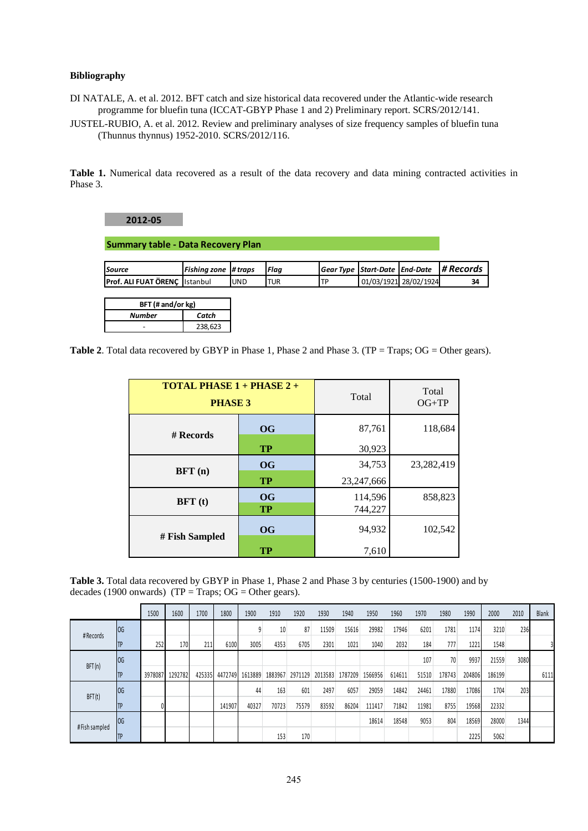# **Bibliography**

DI NATALE, A. et al. 2012. BFT catch and size historical data recovered under the Atlantic-wide research programme for bluefin tuna (ICCAT-GBYP Phase 1 and 2) Preliminary report. SCRS/2012/141.

JUSTEL-RUBIO, A. et al. 2012. Review and preliminary analyses of size frequency samples of bluefin tuna (Thunnus thynnus) 1952-2010. SCRS/2012/116.

**Table 1.** Numerical data recovered as a result of the data recovery and data mining contracted activities in Phase 3.

## **2012‐05**

**Summary table ‐ Data Recovery Plan**

| <b>Source</b>                         | Fishina zone # traps |            | <b>IFlaa</b> |     |                       | Gear Type   Start-Date   End-Date   # Records |
|---------------------------------------|----------------------|------------|--------------|-----|-----------------------|-----------------------------------------------|
| <b>Prof. ALI FUAT ÖRENC IIstanbul</b> |                      | <b>UND</b> | TUR          | 'TD | 01/03/1921 28/02/1924 | 34                                            |

| BFT (# and/or kg) |         |  |  |  |  |  |  |  |
|-------------------|---------|--|--|--|--|--|--|--|
| Number            | Catch   |  |  |  |  |  |  |  |
|                   | 238.623 |  |  |  |  |  |  |  |

Table 2. Total data recovered by GBYP in Phase 1, Phase 2 and Phase 3. (TP = Traps; OG = Other gears).

| <b>TOTAL PHASE 1 + PHASE 2 +</b><br><b>PHASE 3</b> |           | Total      | Total<br>$OG+TP$ |  |  |
|----------------------------------------------------|-----------|------------|------------------|--|--|
| # Records                                          | <b>OG</b> | 87,761     | 118,684          |  |  |
|                                                    | <b>TP</b> | 30,923     |                  |  |  |
| BFT(n)                                             | <b>OG</b> | 34,753     | 23,282,419       |  |  |
|                                                    | <b>TP</b> | 23,247,666 |                  |  |  |
| BFT(t)                                             | <b>OG</b> | 114,596    | 858,823          |  |  |
|                                                    | <b>TP</b> | 744,227    |                  |  |  |
| # Fish Sampled                                     | <b>OG</b> | 94,932     | 102,542          |  |  |
|                                                    | <b>TP</b> | 7,610      |                  |  |  |

**Table 3.** Total data recovered by GBYP in Phase 1, Phase 2 and Phase 3 by centuries (1500-1900) and by decades (1900 onwards) (TP = Traps;  $OG = Other~years$ ).

|               |            | 1500    | 1600    | 1700   | 1800    | 1900    | 1910    | 1920    | 1930    | 1940    | 1950    | 1960   | 1970  | 1980   | 1990   | 2000   | 2010 | Blank |
|---------------|------------|---------|---------|--------|---------|---------|---------|---------|---------|---------|---------|--------|-------|--------|--------|--------|------|-------|
| #Records      | <b>IOG</b> |         |         |        |         |         | 10      | 87      | 11509   | 15616   | 29982   | 17946  | 6201  | 1781   | 1174   | 3210   | 236  |       |
|               |            | 252     | 170     | 211    | 6100    | 3005    | 4353    | 6705    | 2301    | 1021    | 1040    | 2032   | 184   | 777    | 1221   | 1548   |      |       |
|               | <b>IOG</b> |         |         |        |         |         |         |         |         |         |         |        | 107   | 70     | 9937   | 21559  | 3080 |       |
| BFT(n)        |            | 3978087 | 1292782 | 425335 | 4472749 | 1613889 | 1883967 | 2971129 | 2013583 | 1787209 | 1566956 | 614611 | 51510 | 178743 | 204806 | 186199 |      | 6111  |
| BFT(t)        | <b>IOG</b> |         |         |        |         | 44      | 163     | 601     | 2497    | 6057    | 29059   | 14842  | 24461 | 17880  | 17086  | 1704   | 203  |       |
|               | TP         |         |         |        | 141907  | 40327   | 70723   | 75579   | 83592   | 86204   | 111417  | 71842  | 11981 | 8755   | 19568  | 22332  |      |       |
| #Fish sampled | log        |         |         |        |         |         |         |         |         |         | 18614   | 18548  | 9053  | 804    | 18569  | 28000  | 1344 |       |
|               |            |         |         |        |         |         | 153     | 170     |         |         |         |        |       |        | 2225   | 5062   |      |       |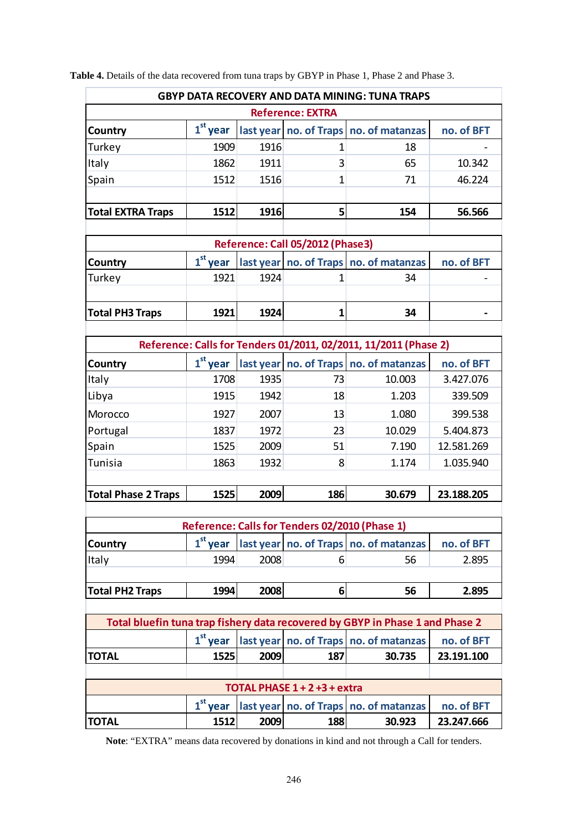| <b>Reference: EXTRA</b><br>$1st$ year<br>last year no. of Traps no. of matanzas<br>no. of BFT<br>Country<br>1916<br>Turkey<br>1909<br>$\mathbf{1}$<br>18<br>Italy<br>1862<br>1911<br>3<br>65<br>10.342<br>Spain<br>1516<br>1<br>46.224<br>1512<br>71<br>1512<br>1916<br>5<br><b>Total EXTRA Traps</b><br>154<br>56.566<br>Reference: Call 05/2012 (Phase3)<br>$1st$ year<br>last year   no. of Traps   no. of matanzas<br>no. of BFT<br>Country<br>1921<br>1924<br>34<br>Turkey<br>$\mathbf{1}$<br><b>Total PH3 Traps</b><br>1921<br>1924<br>$\mathbf{1}$<br>34<br>Reference: Calls for Tenders 01/2011, 02/2011, 11/2011 (Phase 2)<br>$1st$ year<br>last year no. of Traps no. of matanzas<br>Country<br>no. of BFT<br>10.003<br>Italy<br>1708<br>1935<br>73<br>3.427.076<br>Libya<br>18<br>1915<br>1942<br>1.203<br>339.509<br>2007<br>399.538<br>Morocco<br>1927<br>13<br>1.080<br>5.404.873<br>Portugal<br>1972<br>23<br>10.029<br>1837<br>Spain<br>2009<br>7.190<br>12.581.269<br>1525<br>51<br><b>Tunisia</b><br>1863<br>1932<br>8<br>1.035.940<br>1.174<br>1525<br>2009<br>186<br>23.188.205<br><b>Total Phase 2 Traps</b><br>30.679<br>Reference: Calls for Tenders 02/2010 (Phase 1)<br>$1st$ year<br>last year no. of Traps no. of matanzas<br>no. of BFT<br>Country<br>2008<br>Italy<br>1994<br>56<br>2.895<br>6<br>1994<br>2008<br>6<br>2.895<br><b>Total PH2 Traps</b><br>56<br>Total bluefin tuna trap fishery data recovered by GBYP in Phase 1 and Phase 2<br>$1st$ year<br>last year   no. of Traps   no. of matanzas<br>no. of BFT<br>2009<br>187<br>30.735<br>23.191.100<br><b>TOTAL</b><br>1525<br>TOTAL PHASE 1 + 2 +3 + extra<br>$1st$ year<br>last year no. of Traps no. of matanzas<br>no. of BFT<br>2009<br>1512<br>188<br>30.923<br>23.247.666<br><b>TOTAL</b> | <b>GBYP DATA RECOVERY AND DATA MINING: TUNA TRAPS</b> |  |  |  |  |  |  |  |  |  |  |
|------------------------------------------------------------------------------------------------------------------------------------------------------------------------------------------------------------------------------------------------------------------------------------------------------------------------------------------------------------------------------------------------------------------------------------------------------------------------------------------------------------------------------------------------------------------------------------------------------------------------------------------------------------------------------------------------------------------------------------------------------------------------------------------------------------------------------------------------------------------------------------------------------------------------------------------------------------------------------------------------------------------------------------------------------------------------------------------------------------------------------------------------------------------------------------------------------------------------------------------------------------------------------------------------------------------------------------------------------------------------------------------------------------------------------------------------------------------------------------------------------------------------------------------------------------------------------------------------------------------------------------------------------------------------------------------------------------------------------------------------------------------------------------------|-------------------------------------------------------|--|--|--|--|--|--|--|--|--|--|
|                                                                                                                                                                                                                                                                                                                                                                                                                                                                                                                                                                                                                                                                                                                                                                                                                                                                                                                                                                                                                                                                                                                                                                                                                                                                                                                                                                                                                                                                                                                                                                                                                                                                                                                                                                                          |                                                       |  |  |  |  |  |  |  |  |  |  |
|                                                                                                                                                                                                                                                                                                                                                                                                                                                                                                                                                                                                                                                                                                                                                                                                                                                                                                                                                                                                                                                                                                                                                                                                                                                                                                                                                                                                                                                                                                                                                                                                                                                                                                                                                                                          |                                                       |  |  |  |  |  |  |  |  |  |  |
|                                                                                                                                                                                                                                                                                                                                                                                                                                                                                                                                                                                                                                                                                                                                                                                                                                                                                                                                                                                                                                                                                                                                                                                                                                                                                                                                                                                                                                                                                                                                                                                                                                                                                                                                                                                          |                                                       |  |  |  |  |  |  |  |  |  |  |
|                                                                                                                                                                                                                                                                                                                                                                                                                                                                                                                                                                                                                                                                                                                                                                                                                                                                                                                                                                                                                                                                                                                                                                                                                                                                                                                                                                                                                                                                                                                                                                                                                                                                                                                                                                                          |                                                       |  |  |  |  |  |  |  |  |  |  |
|                                                                                                                                                                                                                                                                                                                                                                                                                                                                                                                                                                                                                                                                                                                                                                                                                                                                                                                                                                                                                                                                                                                                                                                                                                                                                                                                                                                                                                                                                                                                                                                                                                                                                                                                                                                          |                                                       |  |  |  |  |  |  |  |  |  |  |
|                                                                                                                                                                                                                                                                                                                                                                                                                                                                                                                                                                                                                                                                                                                                                                                                                                                                                                                                                                                                                                                                                                                                                                                                                                                                                                                                                                                                                                                                                                                                                                                                                                                                                                                                                                                          |                                                       |  |  |  |  |  |  |  |  |  |  |
|                                                                                                                                                                                                                                                                                                                                                                                                                                                                                                                                                                                                                                                                                                                                                                                                                                                                                                                                                                                                                                                                                                                                                                                                                                                                                                                                                                                                                                                                                                                                                                                                                                                                                                                                                                                          |                                                       |  |  |  |  |  |  |  |  |  |  |
|                                                                                                                                                                                                                                                                                                                                                                                                                                                                                                                                                                                                                                                                                                                                                                                                                                                                                                                                                                                                                                                                                                                                                                                                                                                                                                                                                                                                                                                                                                                                                                                                                                                                                                                                                                                          |                                                       |  |  |  |  |  |  |  |  |  |  |
|                                                                                                                                                                                                                                                                                                                                                                                                                                                                                                                                                                                                                                                                                                                                                                                                                                                                                                                                                                                                                                                                                                                                                                                                                                                                                                                                                                                                                                                                                                                                                                                                                                                                                                                                                                                          |                                                       |  |  |  |  |  |  |  |  |  |  |
|                                                                                                                                                                                                                                                                                                                                                                                                                                                                                                                                                                                                                                                                                                                                                                                                                                                                                                                                                                                                                                                                                                                                                                                                                                                                                                                                                                                                                                                                                                                                                                                                                                                                                                                                                                                          |                                                       |  |  |  |  |  |  |  |  |  |  |
|                                                                                                                                                                                                                                                                                                                                                                                                                                                                                                                                                                                                                                                                                                                                                                                                                                                                                                                                                                                                                                                                                                                                                                                                                                                                                                                                                                                                                                                                                                                                                                                                                                                                                                                                                                                          |                                                       |  |  |  |  |  |  |  |  |  |  |
|                                                                                                                                                                                                                                                                                                                                                                                                                                                                                                                                                                                                                                                                                                                                                                                                                                                                                                                                                                                                                                                                                                                                                                                                                                                                                                                                                                                                                                                                                                                                                                                                                                                                                                                                                                                          |                                                       |  |  |  |  |  |  |  |  |  |  |
|                                                                                                                                                                                                                                                                                                                                                                                                                                                                                                                                                                                                                                                                                                                                                                                                                                                                                                                                                                                                                                                                                                                                                                                                                                                                                                                                                                                                                                                                                                                                                                                                                                                                                                                                                                                          |                                                       |  |  |  |  |  |  |  |  |  |  |
|                                                                                                                                                                                                                                                                                                                                                                                                                                                                                                                                                                                                                                                                                                                                                                                                                                                                                                                                                                                                                                                                                                                                                                                                                                                                                                                                                                                                                                                                                                                                                                                                                                                                                                                                                                                          |                                                       |  |  |  |  |  |  |  |  |  |  |
|                                                                                                                                                                                                                                                                                                                                                                                                                                                                                                                                                                                                                                                                                                                                                                                                                                                                                                                                                                                                                                                                                                                                                                                                                                                                                                                                                                                                                                                                                                                                                                                                                                                                                                                                                                                          |                                                       |  |  |  |  |  |  |  |  |  |  |
|                                                                                                                                                                                                                                                                                                                                                                                                                                                                                                                                                                                                                                                                                                                                                                                                                                                                                                                                                                                                                                                                                                                                                                                                                                                                                                                                                                                                                                                                                                                                                                                                                                                                                                                                                                                          |                                                       |  |  |  |  |  |  |  |  |  |  |
|                                                                                                                                                                                                                                                                                                                                                                                                                                                                                                                                                                                                                                                                                                                                                                                                                                                                                                                                                                                                                                                                                                                                                                                                                                                                                                                                                                                                                                                                                                                                                                                                                                                                                                                                                                                          |                                                       |  |  |  |  |  |  |  |  |  |  |
|                                                                                                                                                                                                                                                                                                                                                                                                                                                                                                                                                                                                                                                                                                                                                                                                                                                                                                                                                                                                                                                                                                                                                                                                                                                                                                                                                                                                                                                                                                                                                                                                                                                                                                                                                                                          |                                                       |  |  |  |  |  |  |  |  |  |  |
|                                                                                                                                                                                                                                                                                                                                                                                                                                                                                                                                                                                                                                                                                                                                                                                                                                                                                                                                                                                                                                                                                                                                                                                                                                                                                                                                                                                                                                                                                                                                                                                                                                                                                                                                                                                          |                                                       |  |  |  |  |  |  |  |  |  |  |
|                                                                                                                                                                                                                                                                                                                                                                                                                                                                                                                                                                                                                                                                                                                                                                                                                                                                                                                                                                                                                                                                                                                                                                                                                                                                                                                                                                                                                                                                                                                                                                                                                                                                                                                                                                                          |                                                       |  |  |  |  |  |  |  |  |  |  |
|                                                                                                                                                                                                                                                                                                                                                                                                                                                                                                                                                                                                                                                                                                                                                                                                                                                                                                                                                                                                                                                                                                                                                                                                                                                                                                                                                                                                                                                                                                                                                                                                                                                                                                                                                                                          |                                                       |  |  |  |  |  |  |  |  |  |  |
|                                                                                                                                                                                                                                                                                                                                                                                                                                                                                                                                                                                                                                                                                                                                                                                                                                                                                                                                                                                                                                                                                                                                                                                                                                                                                                                                                                                                                                                                                                                                                                                                                                                                                                                                                                                          |                                                       |  |  |  |  |  |  |  |  |  |  |
|                                                                                                                                                                                                                                                                                                                                                                                                                                                                                                                                                                                                                                                                                                                                                                                                                                                                                                                                                                                                                                                                                                                                                                                                                                                                                                                                                                                                                                                                                                                                                                                                                                                                                                                                                                                          |                                                       |  |  |  |  |  |  |  |  |  |  |
|                                                                                                                                                                                                                                                                                                                                                                                                                                                                                                                                                                                                                                                                                                                                                                                                                                                                                                                                                                                                                                                                                                                                                                                                                                                                                                                                                                                                                                                                                                                                                                                                                                                                                                                                                                                          |                                                       |  |  |  |  |  |  |  |  |  |  |
|                                                                                                                                                                                                                                                                                                                                                                                                                                                                                                                                                                                                                                                                                                                                                                                                                                                                                                                                                                                                                                                                                                                                                                                                                                                                                                                                                                                                                                                                                                                                                                                                                                                                                                                                                                                          |                                                       |  |  |  |  |  |  |  |  |  |  |
|                                                                                                                                                                                                                                                                                                                                                                                                                                                                                                                                                                                                                                                                                                                                                                                                                                                                                                                                                                                                                                                                                                                                                                                                                                                                                                                                                                                                                                                                                                                                                                                                                                                                                                                                                                                          |                                                       |  |  |  |  |  |  |  |  |  |  |
|                                                                                                                                                                                                                                                                                                                                                                                                                                                                                                                                                                                                                                                                                                                                                                                                                                                                                                                                                                                                                                                                                                                                                                                                                                                                                                                                                                                                                                                                                                                                                                                                                                                                                                                                                                                          |                                                       |  |  |  |  |  |  |  |  |  |  |
|                                                                                                                                                                                                                                                                                                                                                                                                                                                                                                                                                                                                                                                                                                                                                                                                                                                                                                                                                                                                                                                                                                                                                                                                                                                                                                                                                                                                                                                                                                                                                                                                                                                                                                                                                                                          |                                                       |  |  |  |  |  |  |  |  |  |  |
|                                                                                                                                                                                                                                                                                                                                                                                                                                                                                                                                                                                                                                                                                                                                                                                                                                                                                                                                                                                                                                                                                                                                                                                                                                                                                                                                                                                                                                                                                                                                                                                                                                                                                                                                                                                          |                                                       |  |  |  |  |  |  |  |  |  |  |
|                                                                                                                                                                                                                                                                                                                                                                                                                                                                                                                                                                                                                                                                                                                                                                                                                                                                                                                                                                                                                                                                                                                                                                                                                                                                                                                                                                                                                                                                                                                                                                                                                                                                                                                                                                                          |                                                       |  |  |  |  |  |  |  |  |  |  |
|                                                                                                                                                                                                                                                                                                                                                                                                                                                                                                                                                                                                                                                                                                                                                                                                                                                                                                                                                                                                                                                                                                                                                                                                                                                                                                                                                                                                                                                                                                                                                                                                                                                                                                                                                                                          |                                                       |  |  |  |  |  |  |  |  |  |  |
|                                                                                                                                                                                                                                                                                                                                                                                                                                                                                                                                                                                                                                                                                                                                                                                                                                                                                                                                                                                                                                                                                                                                                                                                                                                                                                                                                                                                                                                                                                                                                                                                                                                                                                                                                                                          |                                                       |  |  |  |  |  |  |  |  |  |  |
|                                                                                                                                                                                                                                                                                                                                                                                                                                                                                                                                                                                                                                                                                                                                                                                                                                                                                                                                                                                                                                                                                                                                                                                                                                                                                                                                                                                                                                                                                                                                                                                                                                                                                                                                                                                          |                                                       |  |  |  |  |  |  |  |  |  |  |
|                                                                                                                                                                                                                                                                                                                                                                                                                                                                                                                                                                                                                                                                                                                                                                                                                                                                                                                                                                                                                                                                                                                                                                                                                                                                                                                                                                                                                                                                                                                                                                                                                                                                                                                                                                                          |                                                       |  |  |  |  |  |  |  |  |  |  |
|                                                                                                                                                                                                                                                                                                                                                                                                                                                                                                                                                                                                                                                                                                                                                                                                                                                                                                                                                                                                                                                                                                                                                                                                                                                                                                                                                                                                                                                                                                                                                                                                                                                                                                                                                                                          |                                                       |  |  |  |  |  |  |  |  |  |  |
|                                                                                                                                                                                                                                                                                                                                                                                                                                                                                                                                                                                                                                                                                                                                                                                                                                                                                                                                                                                                                                                                                                                                                                                                                                                                                                                                                                                                                                                                                                                                                                                                                                                                                                                                                                                          |                                                       |  |  |  |  |  |  |  |  |  |  |
|                                                                                                                                                                                                                                                                                                                                                                                                                                                                                                                                                                                                                                                                                                                                                                                                                                                                                                                                                                                                                                                                                                                                                                                                                                                                                                                                                                                                                                                                                                                                                                                                                                                                                                                                                                                          |                                                       |  |  |  |  |  |  |  |  |  |  |

**Table 4.** Details of the data recovered from tuna traps by GBYP in Phase 1, Phase 2 and Phase 3.

**Note**: "EXTRA" means data recovered by donations in kind and not through a Call for tenders.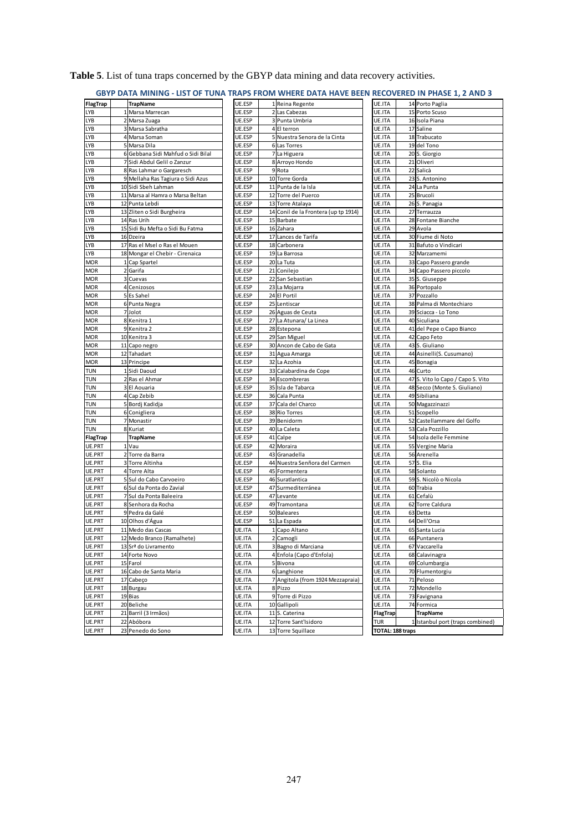|                   |              | GBYP DATA MINING - LIST OF TUNA TRAPS FROM WHERE DATA HAVE BEEN RECOVERED IN PHASE 1, 2 AND 3 |                  |                                      |                  |                                       |
|-------------------|--------------|-----------------------------------------------------------------------------------------------|------------------|--------------------------------------|------------------|---------------------------------------|
| FlagTrap          |              | <b>TrapName</b>                                                                               | UE.ESP           | 1 Reina Regente                      | UE.ITA           | 14 Porto Paglia                       |
| LYB               | $\mathbf{1}$ | Marsa Marrecan                                                                                | UE.ESP           | 2 Las Cabezas                        | UE.ITA           | 15 Porto Scuso                        |
| LYB               |              | 2 Marsa Zuaga                                                                                 | UE.ESP           | 3 Punta Umbria                       | UE.ITA           | 16 Isola Piana                        |
| LYB               |              | 3 Marsa Sabratha                                                                              | UE.ESP           | 4 El terron                          | UE.ITA           | 17 Saline                             |
| LYB               |              | 4 Marsa Soman                                                                                 | UE.ESP           | 5 Nuestra Senora de la Cinta         | UE.ITA           | 18 Trabucato                          |
| LYB               |              | 5 Marsa Dila                                                                                  | UE.ESP           | 6 Las Torres                         | UE.ITA           | 19 del Tono                           |
| LYB               |              | 6 Gebbana Sidi Mahfud o Sidi Bilal                                                            | UE.ESP           | 7 La Higuera                         | UE.ITA           | 20 S. Giorgio                         |
| LYB               |              | 7 Sidi Abdul Gelil o Zanzur                                                                   | UE.ESP           | 8 Arroyo Hondo                       | UE.ITA           | 21 Oliveri                            |
| LYB               |              | 8 Ras Lahmar o Gargaresch                                                                     | UE.ESP           | 9 Rota                               | UE.ITA           | 22 Salicà                             |
| LYB               |              | 9 Mellaha Ras Tagiura o Sidi Azus                                                             | UE.ESP           | 10 Torre Gorda                       | UE.ITA           | 23 S. Antonino                        |
| LYB               |              | 10 Sidi Sbeh Lahman                                                                           | UE.ESP           | 11 Punta de la Isla                  | UE.ITA           | 24 La Punta                           |
| LYB               |              | 11 Marsa al Hamra o Marsa Beltan                                                              | UE.ESP           | 12 Torre del Puerco                  | UE.ITA           | 25 Brucoli                            |
| LYB               |              | 12 Punta Lebdi                                                                                | UE.ESP           | 13 Torre Atalaya                     | UE.ITA           | 26 S. Panagia                         |
| _YB               |              | 13 Zliten o Sidi Burgheira                                                                    | UE.ESP           | 14 Conil de la Frontera (up tp 1914) | UE.ITA           | 27 Terrauzza                          |
| LYB               |              | 14 Ras Urih                                                                                   | UE.ESP           | 15 Barbate                           | UE.ITA           | 28 Fontane Bianche                    |
| LYB               |              | 15 Sidi Bu Mefta o Sidi Bu Fatma                                                              | UE.ESP           | 16 Zahara                            | UE.ITA           | 29 Avola                              |
| LYB               |              | 16 Dzeira                                                                                     | UE.ESP           | 17 Lances de Tarifa                  | UE.ITA           | 30 Fiume di Noto                      |
| LYB<br>LYB        |              | 17 Ras el Msel o Ras el Mouen                                                                 | UE.ESP<br>UE.ESP | 18 Carbonera<br>19 La Barrosa        | UE.ITA<br>UE.ITA | 31 Bafuto o Vindicari<br>32 Marzamemi |
|                   |              | 18 Mongar el Chebir - Cirenaica                                                               |                  |                                      |                  |                                       |
| MOR               | $\mathbf{1}$ | Cap Spartel                                                                                   | UE.ESP           | 20 La Tuta                           | UE.ITA           | 33 Capo Passero grande                |
| Mor               |              | 2 Garifa                                                                                      | UE.ESP           | 21 Conilejo                          | UE.ITA           | 34 Capo Passero piccolo               |
| MOR<br><b>MOR</b> |              | 3 Cuevas<br>4 Cenizosos                                                                       | UE.ESP<br>UE.ESP | 22 San Sebastian<br>23 La Mojarra    | UE.ITA<br>UE.ITA | 35 S. Giuseppe<br>36 Portopalo        |
|                   |              |                                                                                               |                  | 24 El Portil                         | UE.ITA           | 37 Pozzallo                           |
| MOR<br>Mor        |              | 5 Es Sahel                                                                                    | UE.ESP<br>UE.ESP | 25 Lentiscar                         | UE.ITA           | 38 Palma di Montechiaro               |
| MOR               |              | 6 Punta Negra<br>7 Jolot                                                                      | UE.ESP           | 26 Aguas de Ceuta                    | UE.ITA           | 39 Sciacca - Lo Tono                  |
| MOR               |              | 8 Kenitra 1                                                                                   | UE.ESP           | 27 La Atunara/ La Linea              | UE.ITA           | 40 Siculiana                          |
| <b>MOR</b>        |              | 9 Kenitra 2                                                                                   | UE.ESP           | 28 Estepona                          | UE.ITA           | 41 del Pepe o Capo Bianco             |
| MOR               |              | 10 Kenitra 3                                                                                  | UE.ESP           | 29 San Miguel                        | UE.ITA           | 42 Capo Feto                          |
| MOR               |              | 11 Capo negro                                                                                 | UE.ESP           | 30 Ancon de Cabo de Gata             | UE.ITA           | 43 S. Giuliano                        |
| MOR               |              | 12 Tahadart                                                                                   | UE.ESP           | 31 Agua Amarga                       | UE.ITA           | 44 Asinelli(S. Cusumano)              |
| MOR               |              | 13 Principe                                                                                   | UE.ESP           | 32 La Azohia                         | UE.ITA           | 45 Bonagia                            |
| <b>TUN</b>        |              | 1 Sidi Daoud                                                                                  | UE.ESP           | 33 Calabardina de Cope               | UE.ITA           | 46 Curto                              |
| <b>TUN</b>        |              | 2 Ras el Ahmar                                                                                | UE.ESP           | 34 Escombreras                       | UE.ITA           | 47 S. Vito lo Capo / Capo S. Vito     |
| TUN               |              | 3 El Aouaria                                                                                  | UE.ESP           | 35 Isla de Tabarca                   | UE.ITA           | 48 Secco (Monte S. Giuliano)          |
| TUN               |              | 4 Cap Zebib                                                                                   | UE.ESP           | 36 Cala Punta                        | UE.ITA           | 49 Sibiliana                          |
| TUN               |              | 5 Bordj Kadidja                                                                               | UE.ESP           | 37 Cala del Charco                   | UE.ITA           | 50 Magazzinazzi                       |
| TUN               |              | 6 Conigliera                                                                                  | UE.ESP           | 38 Rio Torres                        | UE.ITA           | 51 Scopello                           |
| TUN               |              | 7 Monastir                                                                                    | UE.ESP           | 39 Benidorm                          | UE.ITA           | 52 Castellammare del Golfo            |
| <b>TUN</b>        |              | 8 Kuriat                                                                                      | UE.ESP           | 40 La Caleta                         | UE.ITA           | 53 Cala Pozzillo                      |
| FlagTrap          |              | <b>TrapName</b>                                                                               | UE.ESP           | 41 Calpe                             | UE.ITA           | 54 Isola delle Femmine                |
| UE.PRT            |              | 1 Vau                                                                                         | UE.ESP           | 42 Moraira                           | UE.ITA           | 55 Vergine Maria                      |
| UE.PRT            |              | 2 Torre da Barra                                                                              | UE.ESP           | 43 Granadella                        | UE.ITA           | 56 Arenella                           |
| UE.PRT            |              | 3 Torre Altinha                                                                               | UE.ESP           | 44 Nuestra Senñora del Carmen        | UE.ITA           | 57 S. Elia                            |
| UE.PRT            |              | 4 Torre Alta                                                                                  | UE.ESP           | 45 Formentera                        | UE.ITA           | 58 Solanto                            |
| UE.PRT            |              | 5 Sul do Cabo Carvoeiro                                                                       | UE.ESP           | 46 Suratlantica                      | UE.ITA           | 59 S. Nicolò o Nicola                 |
| UE.PRT            |              | 6 Sul da Ponta do Zavial                                                                      | UE.ESP           | 47 Surmediterránea                   | UE.ITA           | 60 Trabia                             |
| UE.PRT            |              | 7 Sul da Ponta Baleeira                                                                       | UE.ESP           | 47 Levante                           | UE.ITA           | 61 Cefalù                             |
| UE.PRT            |              | 8 Senhora da Rocha                                                                            | UE.ESP           | 49 Tramontana                        | UE.ITA           | 62 Torre Caldura                      |
| UE.PRT            |              | 9 Pedra da Galé                                                                               | UE.ESP           | 50 Baleares                          | UE.ITA           | 63 Detta                              |
| UE.PRT            |              | 10 Olhos d'Água                                                                               | UE.ESP           | 51 La Espada                         | UE.ITA           | 64 Dell'Orsa                          |
| UE.PRT            |              | 11 Medo das Cascas                                                                            | UE.ITA           | 1 Capo Altano                        | UE.ITA           | 65 Santa Lucia                        |
| UE.PRT            |              | 12 Medo Branco (Ramalhete)                                                                    | UE.ITA           | 2 Camogli                            | UE.ITA           | 66 Puntanera                          |
| UE.PRT            |              | 13 Srª do Livramento                                                                          | UE.ITA           | 3 Bagno di Marciana                  | UE.ITA           | 67 Vaccarella                         |
| UE.PRT            |              | 14 Forte Novo                                                                                 | UE.ITA           | 4 Enfola (Capo d'Enfola)             | UE.ITA           | 68 Calavinagra                        |
| UE.PRT            |              | 15 Farol                                                                                      | UE.ITA           | 5 Bivona                             | UE.ITA           | 69 Columbargia                        |
| UE.PRT            |              | 16 Cabo de Santa Maria                                                                        | UE.ITA           | 6 Langhione                          | UE.ITA           | 70 Flumentorgiu                       |
| UE.PRT            |              | 17 Cabeco                                                                                     | UE.ITA           | 7 Angitola (from 1924 Mezzapraia)    | UE.ITA           | 71 Peloso                             |
| UE.PRT            |              | 18 Burgau                                                                                     | UE.ITA           | 8 Pizzo                              | UE.ITA           | 72 Mondello                           |
| UE.PRT            |              | 19 Bias                                                                                       | UE.ITA           | 9 Torre di Pizzo                     | UE.ITA           | 73 Favignana                          |
| UE.PRT            |              | 20 Beliche                                                                                    | UE.ITA           | 10 Gallipoli                         | UE.ITA           | 74 Formica                            |
| UE.PRT            |              | 21 Barril (3 Irmãos)                                                                          | UE.ITA           | 11 S. Caterina                       | FlagTrap         | <b>TrapName</b>                       |
| UE.PRT            |              | 22 Abóbora                                                                                    | UE.ITA           | 12 Torre Sant'Isidoro                | <b>TUR</b>       | 1 Istanbul port (traps combined)      |
| UE.PRT            |              |                                                                                               |                  | 13 Torre Squillace                   |                  |                                       |

**Table 5**. List of tuna traps concerned by the GBYP data mining and data recovery activities.